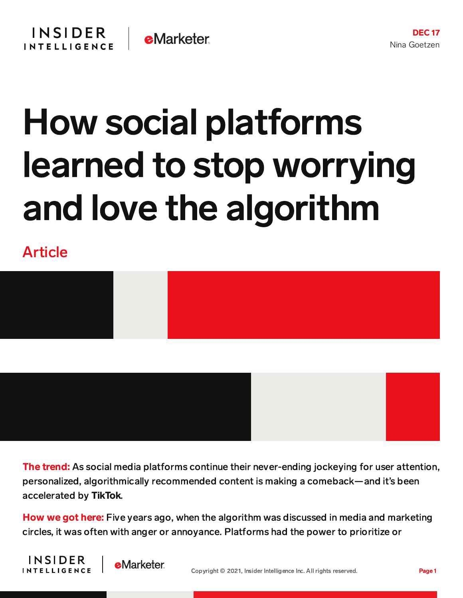## How social platforms learned to stop worrying and love the algorithm

Article





**The trend:** As social media platforms continue their never-ending jockeying for user attention, personalized, algorithmically recommended content is making a comeback—and it's been accelerated by TikTok.

How we got here: Five years ago, when the algorithm was discussed in media and marketing circles, it was often with anger or annoyance. Platforms had the power to prioritize or



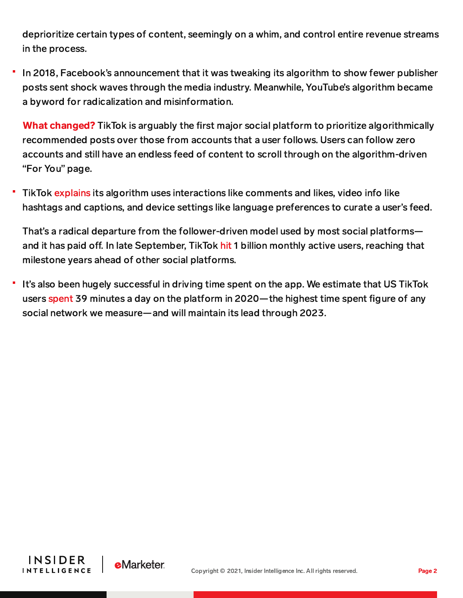deprioritize certain types of content, seemingly on a whim, and control entire revenue streams in the process.

In 2018, Facebook's announcement that it was tweaking its algorithm to show fewer publisher posts sent shock waves through the media industry. Meanwhile, YouTube's algorithm became a byword for radicalization and misinformation.

What changed? TikTok is arguably the first major social platform to prioritize algorithmically recommended posts over those from accounts that a user follows. Users can follow zero accounts and still have an endless feed of content to scroll through on the algorithm-driven "For You" page.

TikTok [explains](https://newsroom.tiktok.com/en-us/how-tiktok-recommends-videos-for-you) its algorithm uses interactions like comments and likes, video info like hashtags and captions, and device settings like language preferences to curate a user's feed.

That's a radical departure from the follower-driven model used by most social platforms and it has paid off. In late September, TikTok [hit](https://content-na1.emarketer.com/tiktok-hits-1-billion-monthly-users-unveils-new-customizable-marketing-tools-brand-partners) 1 billion monthly active users, reaching that milestone years ahead of other social platforms.

It's also been hugely successful in driving time spent on the app. We estimate that US TikTok users [spent](https://chart-na1.emarketer.com/c/T11520/social-networks-average-time-spent-by-users-us-by-platform-2019-2023-hrsmins-per-day-among-users-of-each-platform-1) 39 minutes a day on the platform in 2020—the highest time spent figure of any social network we measure—and will maintain its lead through 2023.



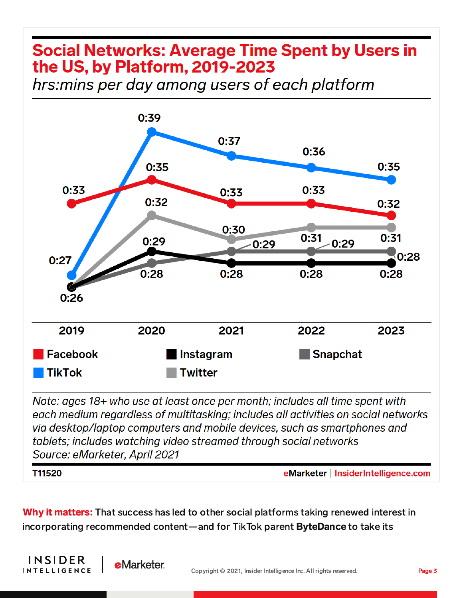## **Social Networks: Average Time Spent by Users in** the US, by Platform, 2019-2023

hrs: mins per day among users of each platform



Note: ages 18+ who use at least once per month; includes all time spent with each medium regardless of multitasking; includes all activities on social networks vig desktop/laptop computers and mobile devices, such as smartphones and tablets; includes watching video streamed through social networks Source: eMarketer, April 2021

T11520

**INSIDER** 

**INTELLIGENCE** 

**eMarketer** 

eMarketer | InsiderIntelligence.com

Why it matters: That success has led to other social platforms taking renewed interest in incorporating recommended content—and for TikTok parent ByteDance to take its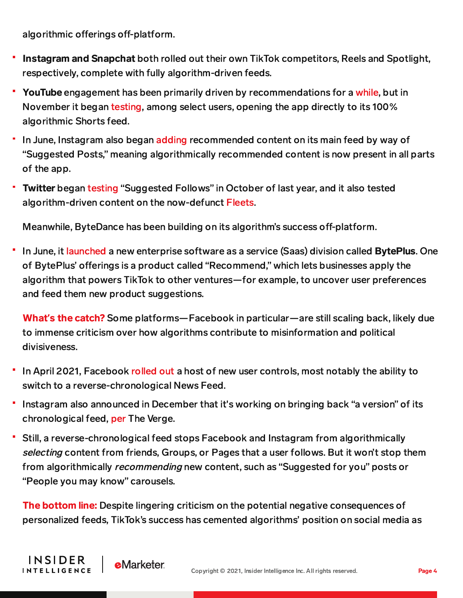algorithmic offerings off-platform.

**INSIDER** 

**INTELLIGENCE** 

**e**Marketer

- Instagram and Snapchat both rolled out their own TikTok competitors, Reels and Spotlight, respectively, complete with fully algorithm-driven feeds.
- **YouTube** engagement has been primarily driven by recommendations for a [while,](https://qz.com/1178125/youtubes-recommendations-drive-70-of-what-we-watch/) but in November it began [testing,](https://www.socialmediatoday.com/news/youtube-tests-opening-to-shorts-direct-for-users-that-regularly-engage-with/609433/) among select users, opening the app directly to its 100% algorithmic Shorts feed.
- In June, Instagram also began [adding](https://www.theverge.com/2021/6/23/22547045/instagram-suggested-posts-test-algorithm?scrolla=5eb6d68b7fedc32c19ef33b4) recommended content on its main feed by way of "Suggested Posts," meaning algorithmically recommended content is now present in all parts of the app.
- Twitter began [testing](https://www.socialmediatoday.com/news/twitter-tests-new-suggested-follows-listings-on-android/586522/) "Suggested Follows" in October of last year, and it also tested algorithm-driven content on the now-defunct [Fleets.](https://content-na1.emarketer.com/twitter-ups-algorithm-ante-with-recommended-fleets)

Meanwhile, ByteDance has been building on its algorithm's success off-platform.

In June, it [launched](https://content-na1.emarketer.com/bytedance-will-offer-brands-taste-of-tiktok-algorithm-its-newest-enterprise-offering) a new enterprise software as a service (Saas) division called BytePlus. One of BytePlus' offerings is a product called "Recommend," which lets businesses apply the algorithm that powers TikTok to other ventures—for example, to uncover user preferences and feed them new product suggestions.

What**'**s the catch? Some platforms—Facebook in particular—are still scaling back, likely due to immense criticism over how algorithms contribute to misinformation and political divisiveness.

- In April 2021, Facebook [rolled](https://content-na1.emarketer.com/facebook-wants-you-choose-what-you-see-if-you-want) out a host of new user controls, most notably the ability to switch to a reverse-chronological News Feed.
- Instagram also announced in December that it's working on bringing back "a version" of its chronological feed, [per](https://www.theverge.com/2021/12/8/22824609/instagram-chronological-feed-adam-mosseri) The Verge.
- Still, a reverse-chronological feed stops Facebook and Instagram from algorithmically selecting content from friends, Groups, or Pages that a user follows. But it won't stop them from algorithmically recommending new content, such as "Suggested for you" posts or "People you may know" carousels.

**The bottom line:** Despite lingering criticism on the potential negative consequences of personalized feeds, TikTok's success has cemented algorithms' position on social media as